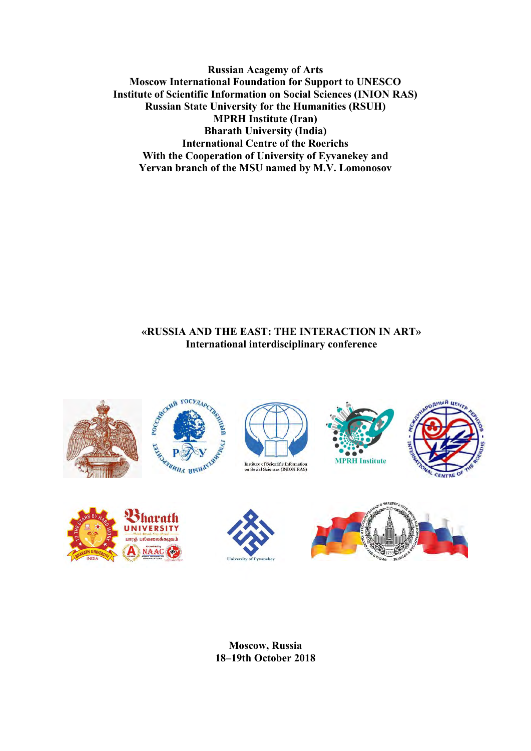**Russian Acagemy of Arts Moscow International Foundation for Support to UNESCO Institute of Scientific Information on Social Sciences (INION RAS) Russian State University for the Humanities (RSUH) MPRH Institute (Iran) Bharath University (India) International Centre of the Roerichs With the Cooperation of University of Eyvanekey and Yervan branch of the MSU named by M.V. Lomonosov**

# **«RUSSIA AND THE EAST: THE INTERACTION IN ART» International interdisciplinary conference**



**Moscow, Russia 18–19th October 2018**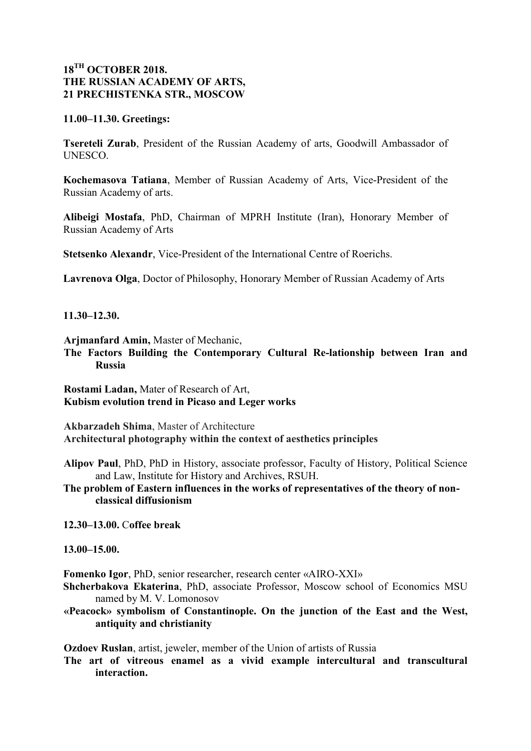## **18TH OCTOBER 2018. THE RUSSIAN ACADEMY OF ARTS, 21 PRECHISTENKA STR., MOSCOW**

#### **11.00–11.30. Greetings:**

**Tsereteli Zurab**, President of the Russian Academy of arts, Goodwill Ambassador of UNESCO.

**Kochemasova Tatiana**, Member of Russian Academy of Arts, Vice-President of the Russian Academy of arts.

**Alibeigi Mostafa**, PhD, Chairman of MPRH Institute (Iran), Honorary Member of Russian Academy of Arts

**Stetsenko Alexandr**, Vice-President of the International Centre of Roerichs.

**Lavrenova Olga**, Doctor of Philosophy, Honorary Member of Russian Academy of Arts

**11.30–12.30.** 

**Arjmanfard Amin,** Master of Mechanic,

**The Factors Building the Contemporary Cultural Re-lationship between Iran and Russia**

**Rostami Ladan,** Mater of Research of Art, **Kubism evolution trend in Picaso and Leger works** 

**Akbarzadeh Shima**, Master of Architecture **Architectural photography within the context of aesthetics principles**

**Alipov Paul**, PhD, PhD in History, associate professor, Faculty of History, Political Science and Law, Institute for History and Archives, RSUH.

**The problem of Eastern influences in the works of representatives of the theory of nonclassical diffusionism**

**12.30–13.00.** С**offee break**

**13.00–15.00.**

**Fomenko Igor**, PhD, senior researcher, research center «AIRO-XXI»

- **Shcherbakova Ekaterina**, PhD, associate Professor, Moscow school of Economics MSU named by M. V. Lomonosov
- **«Peacock» symbolism of Constantinople. On the junction of the East and the West, antiquity and christianity**

**Ozdoev Ruslan**, artist, jeweler, member of the Union of artists of Russia

**The art of vitreous enamel as a vivid example intercultural and transcultural interaction.**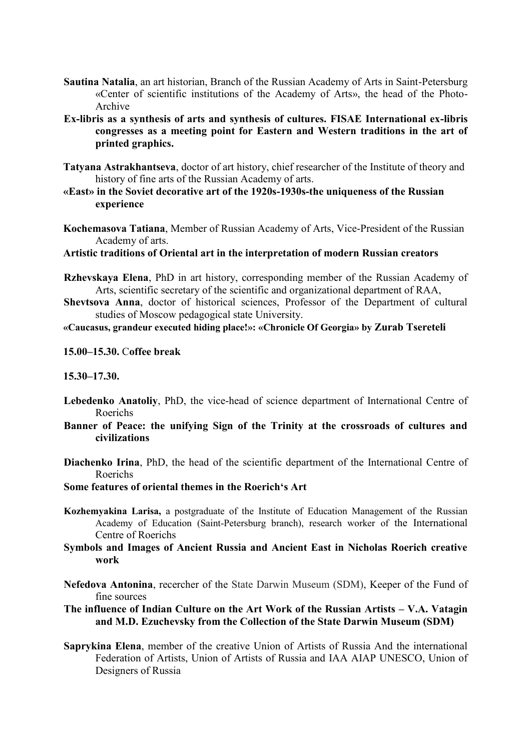- **Sautina Natalia**, an art historian, Branch of the Russian Academy of Arts in Saint-Petersburg «Center of scientific institutions of the Academy of Arts», the head of the Photo-Archive
- **Ex-libris as a synthesis of arts and synthesis of cultures. FISAE International ex-libris congresses as a meeting point for Eastern and Western traditions in the art of printed graphics.**
- **Tatyana Astrakhantseva**, doctor of art history, chief researcher of the Institute of theory and history of fine arts of the Russian Academy of arts.
- **«East» in the Soviet decorative art of the 1920s-1930s-the uniqueness of the Russian experience**
- **Kochemasova Tatiana**, Member of Russian Academy of Arts, Vice-President of the Russian Academy of arts.

**Artistic traditions of Oriental art in the interpretation of modern Russian creators** 

- **Rzhevskaya Elena**, PhD in art history, corresponding member of the Russian Academy of Arts, scientific secretary of the scientific and organizational department of RAA,
- **Shevtsova Anna**, doctor of historical sciences, Professor of the Department of cultural studies of Moscow pedagogical state University.

#### **«Caucasus, grandeur executed hiding place!»: «Chronicle Of Georgia» by Zurab Tsereteli**

**15.00–15.30.** С**offee break**

#### **15.30–17.30.**

- **Lebedenko Anatoliy**, PhD, the vice-head of science department of International Centre of Roerichs
- **Banner of Peace: the unifying Sign of the Trinity at the crossroads of cultures and civilizations**
- **Diachenko Irina**, PhD, the head of the scientific department of the International Centre of Roerichs

### **Some features of oriental themes in the Roerich's Art**

- **Kozhemyakina Larisa,** a postgraduate of the Institute of Education Management of the Russian Academy of Education (Saint-Petersburg branch), research worker of the International Centre of Roerichs
- **Symbols and Images of Ancient Russia and Ancient East in Nicholas Roerich creative work**
- **Nefedova Antonina**, recercher of the State Darwin Museum (SDM), Keeper of the Fund of fine sources

**The influence of Indian Culture on the Art Work of the Russian Artists – V.A. Vatagin and M.D. Ezuchevsky from the Collection of the State Darwin Museum (SDM)** 

**Saprykina Elena**, member of the creative Union of Artists of Russia And the international Federation of Artists, Union of Artists of Russia and IAA AIAP UNESCO, Union of Designers of Russia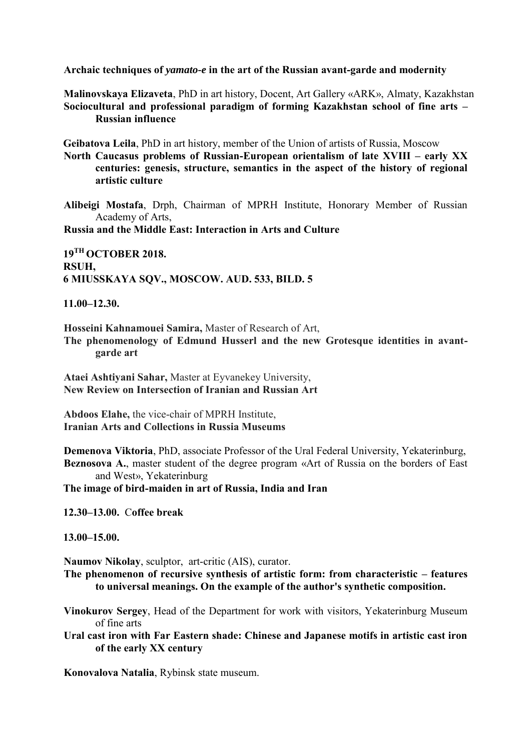**Archaic techniques of** *yamato-e* **in the art of the Russian avant-garde and modernity** 

**Malinovskaya Elizaveta**, PhD in art history, Docent, Art Gallery «ARK», Almaty, Kazakhstan **Sociocultural and professional paradigm of forming Kazakhstan school of fine arts – Russian influence** 

**Geibatova Leila**, PhD in art history, member of the Union of artists of Russia, Moscow

**North Caucasus problems of Russian-European orientalism of late XVIII – early XX centuries: genesis, structure, semantics in the aspect of the history of regional artistic culture** 

**Alibeigi Mostafa**, Drph, Chairman of MPRH Institute, Honorary Member of Russian Academy of Arts,

**Russia and the Middle East: Interaction in Arts and Culture** 

**19TH OCTOBER 2018. RSUH, 6 MIUSSKAYA SQV., MOSCOW. AUD. 533, BILD. 5** 

**11.00–12.30.** 

**Hosseini Kahnamouei Samira,** Master of Research of Art, **The phenomenology of Edmund Husserl and the new Grotesque identities in avant-**

**garde art**

**Ataei Ashtiyani Sahar,** Master at Eyvanekey University, **New Review on Intersection of Iranian and Russian Art**

**Abdoos Elahe,** the vice-chair of MPRH Institute, **Iranian Arts and Collections in Russia Museums**

**Demenova Viktoria**, PhD, associate Professor of the Ural Federal University, Yekaterinburg, **Beznosova A.**, master student of the degree program «Art of Russia on the borders of East and West», Yekaterinburg

**The image of bird-maiden in art of Russia, India and Iran**

**12.30–13.00.** С**offee break**

**13.00–15.00.** 

**Naumov Nikolay**, sculptor, art-critic (AIS), curator.

**The phenomenon of recursive synthesis of artistic form: from characteristic – features to universal meanings. On the example of the author's synthetic composition.** 

**Vinokurov Sergey**, Head of the Department for work with visitors, Yekaterinburg Museum of fine arts

**Ural cast iron with Far Eastern shade: Chinese and Japanese motifs in artistic cast iron of the early XX century** 

**Konovalova Natalia**, Rybinsk state museum.